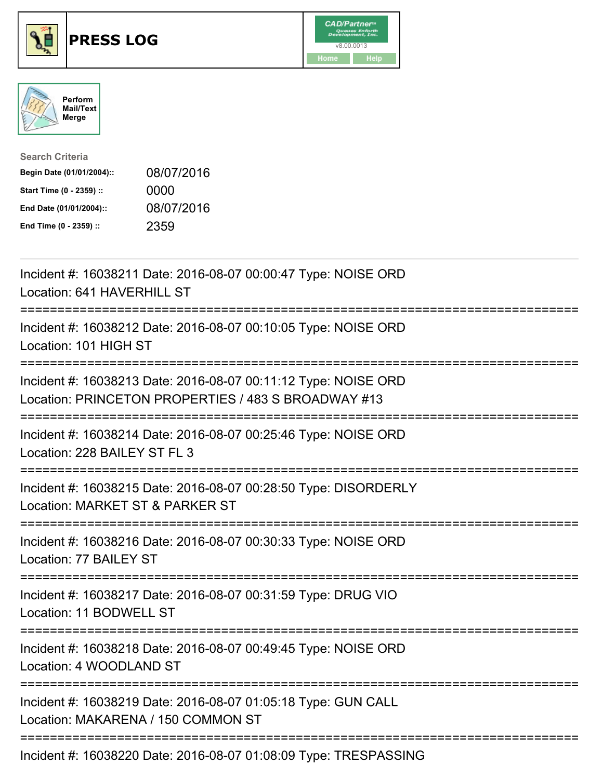





| <b>Search Criteria</b>    |            |
|---------------------------|------------|
| Begin Date (01/01/2004):: | 08/07/2016 |
| Start Time (0 - 2359) ::  | 0000       |
| End Date (01/01/2004)::   | 08/07/2016 |
| End Time (0 - 2359) ::    | 2359       |

| Incident #: 16038211 Date: 2016-08-07 00:00:47 Type: NOISE ORD<br>Location: 641 HAVERHILL ST                                      |
|-----------------------------------------------------------------------------------------------------------------------------------|
| Incident #: 16038212 Date: 2016-08-07 00:10:05 Type: NOISE ORD<br>Location: 101 HIGH ST                                           |
| Incident #: 16038213 Date: 2016-08-07 00:11:12 Type: NOISE ORD<br>Location: PRINCETON PROPERTIES / 483 S BROADWAY #13             |
| Incident #: 16038214 Date: 2016-08-07 00:25:46 Type: NOISE ORD<br>Location: 228 BAILEY ST FL 3                                    |
| Incident #: 16038215 Date: 2016-08-07 00:28:50 Type: DISORDERLY<br>Location: MARKET ST & PARKER ST<br>-----------                 |
| Incident #: 16038216 Date: 2016-08-07 00:30:33 Type: NOISE ORD<br>Location: 77 BAILEY ST<br>:==================================== |
| Incident #: 16038217 Date: 2016-08-07 00:31:59 Type: DRUG VIO<br>Location: 11 BODWELL ST                                          |
| Incident #: 16038218 Date: 2016-08-07 00:49:45 Type: NOISE ORD<br>Location: 4 WOODLAND ST                                         |
| Incident #: 16038219 Date: 2016-08-07 01:05:18 Type: GUN CALL<br>Location: MAKARENA / 150 COMMON ST<br>----------------------     |
| Incident #: 16038220 Date: 2016-08-07 01:08:09 Type: TRESPASSING                                                                  |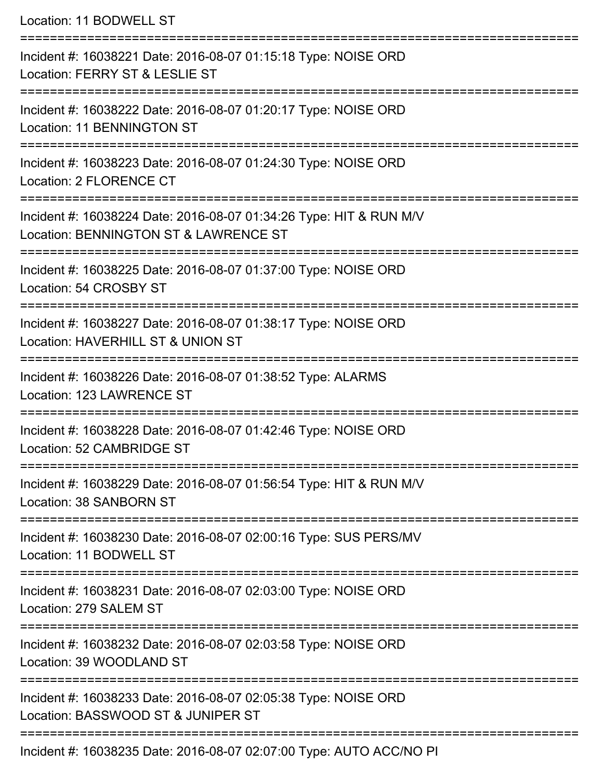Location: 11 BODWELL ST =========================================================================== Incident #: 16038221 Date: 2016-08-07 01:15:18 Type: NOISE ORD Location: FERRY ST & LESLIE ST =========================================================================== Incident #: 16038222 Date: 2016-08-07 01:20:17 Type: NOISE ORD Location: 11 BENNINGTON ST =========================================================================== Incident #: 16038223 Date: 2016-08-07 01:24:30 Type: NOISE ORD Location: 2 FLORENCE CT =========================================================================== Incident #: 16038224 Date: 2016-08-07 01:34:26 Type: HIT & RUN M/V Location: BENNINGTON ST & LAWRENCE ST =========================================================================== Incident #: 16038225 Date: 2016-08-07 01:37:00 Type: NOISE ORD Location: 54 CROSBY ST =========================================================================== Incident #: 16038227 Date: 2016-08-07 01:38:17 Type: NOISE ORD Location: HAVERHILL ST & UNION ST =========================================================================== Incident #: 16038226 Date: 2016-08-07 01:38:52 Type: ALARMS Location: 123 LAWRENCE ST =========================================================================== Incident #: 16038228 Date: 2016-08-07 01:42:46 Type: NOISE ORD Location: 52 CAMBRIDGE ST =========================================================================== Incident #: 16038229 Date: 2016-08-07 01:56:54 Type: HIT & RUN M/V Location: 38 SANBORN ST =========================================================================== Incident #: 16038230 Date: 2016-08-07 02:00:16 Type: SUS PERS/MV Location: 11 BODWELL ST =========================================================================== Incident #: 16038231 Date: 2016-08-07 02:03:00 Type: NOISE ORD Location: 279 SALEM ST =========================================================================== Incident #: 16038232 Date: 2016-08-07 02:03:58 Type: NOISE ORD Location: 39 WOODLAND ST =========================================================================== Incident #: 16038233 Date: 2016-08-07 02:05:38 Type: NOISE ORD Location: BASSWOOD ST & JUNIPER ST =========================================================================== Incident #: 16038235 Date: 2016-08-07 02:07:00 Type: AUTO ACC/NO PI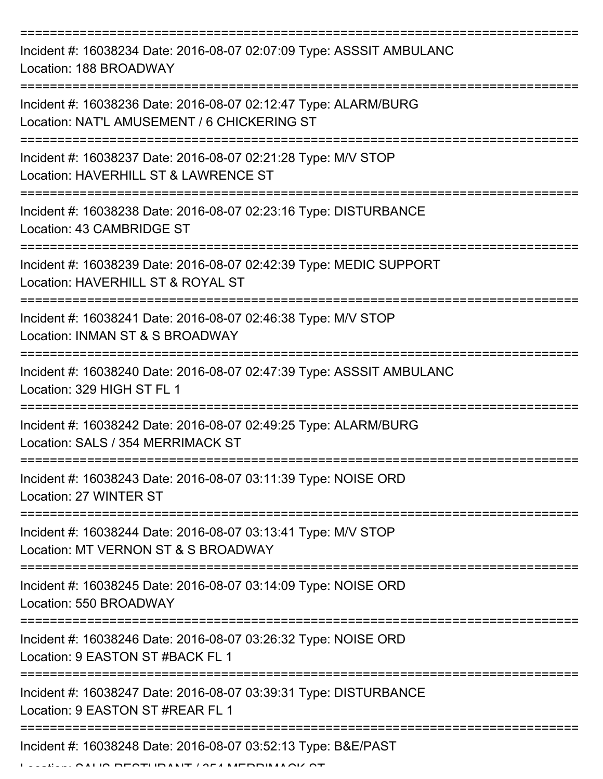=========================================================================== Incident #: 16038234 Date: 2016-08-07 02:07:09 Type: ASSSIT AMBULANC Location: 188 BROADWAY =========================================================================== Incident #: 16038236 Date: 2016-08-07 02:12:47 Type: ALARM/BURG Location: NAT'L AMUSEMENT / 6 CHICKERING ST =========================================================================== Incident #: 16038237 Date: 2016-08-07 02:21:28 Type: M/V STOP Location: HAVERHILL ST & LAWRENCE ST =========================================================================== Incident #: 16038238 Date: 2016-08-07 02:23:16 Type: DISTURBANCE Location: 43 CAMBRIDGE ST =========================================================================== Incident #: 16038239 Date: 2016-08-07 02:42:39 Type: MEDIC SUPPORT Location: HAVERHILL ST & ROYAL ST =========================================================================== Incident #: 16038241 Date: 2016-08-07 02:46:38 Type: M/V STOP Location: INMAN ST & S BROADWAY =========================================================================== Incident #: 16038240 Date: 2016-08-07 02:47:39 Type: ASSSIT AMBULANC Location: 329 HIGH ST FL 1 =========================================================================== Incident #: 16038242 Date: 2016-08-07 02:49:25 Type: ALARM/BURG Location: SALS / 354 MERRIMACK ST =========================================================================== Incident #: 16038243 Date: 2016-08-07 03:11:39 Type: NOISE ORD Location: 27 WINTER ST =========================================================================== Incident #: 16038244 Date: 2016-08-07 03:13:41 Type: M/V STOP Location: MT VERNON ST & S BROADWAY =========================================================================== Incident #: 16038245 Date: 2016-08-07 03:14:09 Type: NOISE ORD Location: 550 BROADWAY =========================================================================== Incident #: 16038246 Date: 2016-08-07 03:26:32 Type: NOISE ORD Location: 9 FASTON ST #BACK FL 1 =========================================================================== Incident #: 16038247 Date: 2016-08-07 03:39:31 Type: DISTURBANCE Location: 9 EASTON ST #REAR FL 1 =========================================================================== Incident #: 16038248 Date: 2016-08-07 03:52:13 Type: B&E/PAST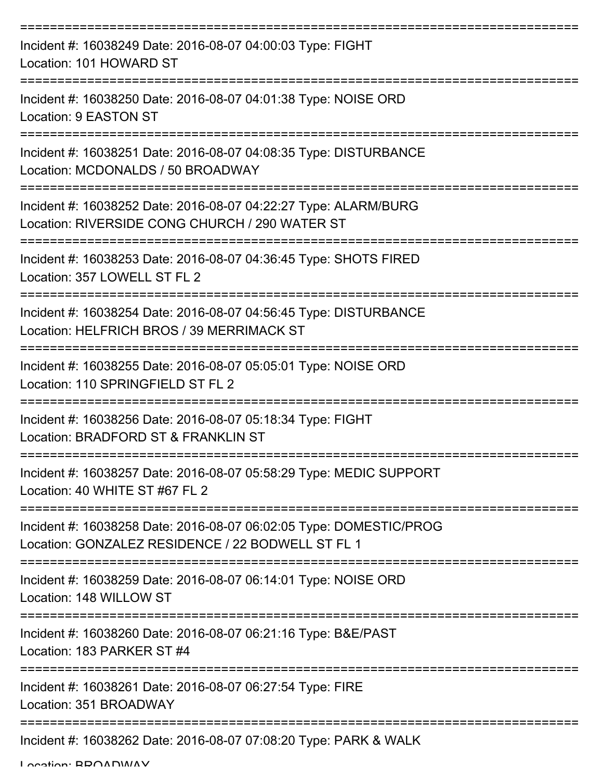| Incident #: 16038249 Date: 2016-08-07 04:00:03 Type: FIGHT<br>Location: 101 HOWARD ST                                   |
|-------------------------------------------------------------------------------------------------------------------------|
| Incident #: 16038250 Date: 2016-08-07 04:01:38 Type: NOISE ORD<br>Location: 9 EASTON ST                                 |
| Incident #: 16038251 Date: 2016-08-07 04:08:35 Type: DISTURBANCE<br>Location: MCDONALDS / 50 BROADWAY                   |
| Incident #: 16038252 Date: 2016-08-07 04:22:27 Type: ALARM/BURG<br>Location: RIVERSIDE CONG CHURCH / 290 WATER ST       |
| Incident #: 16038253 Date: 2016-08-07 04:36:45 Type: SHOTS FIRED<br>Location: 357 LOWELL ST FL 2                        |
| Incident #: 16038254 Date: 2016-08-07 04:56:45 Type: DISTURBANCE<br>Location: HELFRICH BROS / 39 MERRIMACK ST           |
| Incident #: 16038255 Date: 2016-08-07 05:05:01 Type: NOISE ORD<br>Location: 110 SPRINGFIELD ST FL 2                     |
| Incident #: 16038256 Date: 2016-08-07 05:18:34 Type: FIGHT<br>Location: BRADFORD ST & FRANKLIN ST                       |
| Incident #: 16038257 Date: 2016-08-07 05:58:29 Type: MEDIC SUPPORT<br>Location: 40 WHITE ST #67 FL 2                    |
| Incident #: 16038258 Date: 2016-08-07 06:02:05 Type: DOMESTIC/PROG<br>Location: GONZALEZ RESIDENCE / 22 BODWELL ST FL 1 |
| Incident #: 16038259 Date: 2016-08-07 06:14:01 Type: NOISE ORD<br>Location: 148 WILLOW ST                               |
| Incident #: 16038260 Date: 2016-08-07 06:21:16 Type: B&E/PAST<br>Location: 183 PARKER ST #4                             |
| Incident #: 16038261 Date: 2016-08-07 06:27:54 Type: FIRE<br>Location: 351 BROADWAY                                     |
| Incident #: 16038262 Date: 2016-08-07 07:08:20 Type: PARK & WALK                                                        |

Location: BROADWAY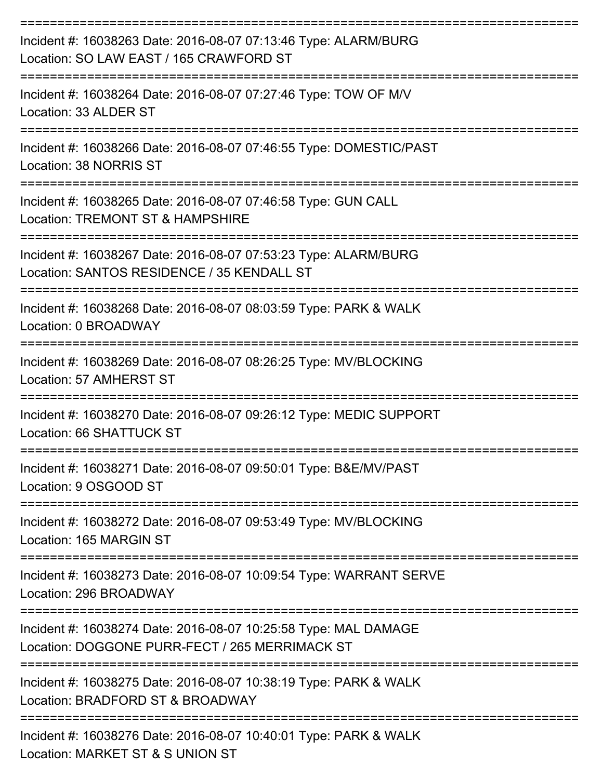| Incident #: 16038263 Date: 2016-08-07 07:13:46 Type: ALARM/BURG<br>Location: SO LAW EAST / 165 CRAWFORD ST                        |
|-----------------------------------------------------------------------------------------------------------------------------------|
| Incident #: 16038264 Date: 2016-08-07 07:27:46 Type: TOW OF M/V<br>Location: 33 ALDER ST                                          |
| Incident #: 16038266 Date: 2016-08-07 07:46:55 Type: DOMESTIC/PAST<br>Location: 38 NORRIS ST                                      |
| Incident #: 16038265 Date: 2016-08-07 07:46:58 Type: GUN CALL<br>Location: TREMONT ST & HAMPSHIRE                                 |
| Incident #: 16038267 Date: 2016-08-07 07:53:23 Type: ALARM/BURG<br>Location: SANTOS RESIDENCE / 35 KENDALL ST                     |
| Incident #: 16038268 Date: 2016-08-07 08:03:59 Type: PARK & WALK<br>Location: 0 BROADWAY                                          |
| Incident #: 16038269 Date: 2016-08-07 08:26:25 Type: MV/BLOCKING<br>Location: 57 AMHERST ST                                       |
| Incident #: 16038270 Date: 2016-08-07 09:26:12 Type: MEDIC SUPPORT<br>Location: 66 SHATTUCK ST                                    |
| Incident #: 16038271 Date: 2016-08-07 09:50:01 Type: B&E/MV/PAST<br>Location: 9 OSGOOD ST                                         |
| ------------------<br>------------<br>Incident #: 16038272 Date: 2016-08-07 09:53:49 Type: MV/BLOCKING<br>Location: 165 MARGIN ST |
| Incident #: 16038273 Date: 2016-08-07 10:09:54 Type: WARRANT SERVE<br>Location: 296 BROADWAY                                      |
| Incident #: 16038274 Date: 2016-08-07 10:25:58 Type: MAL DAMAGE<br>Location: DOGGONE PURR-FECT / 265 MERRIMACK ST                 |
| Incident #: 16038275 Date: 2016-08-07 10:38:19 Type: PARK & WALK<br>Location: BRADFORD ST & BROADWAY                              |
| Incident #: 16038276 Date: 2016-08-07 10:40:01 Type: PARK & WALK                                                                  |

Location: MARKET ST & S UNION ST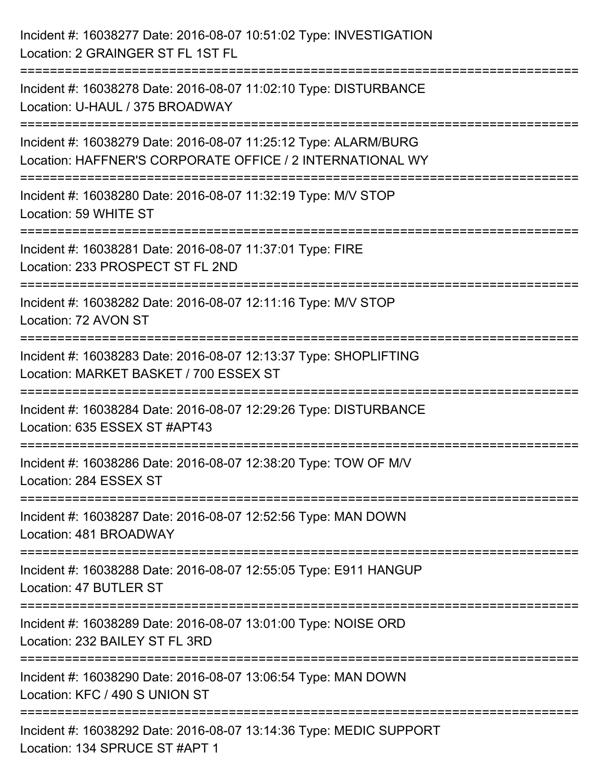| Incident #: 16038277 Date: 2016-08-07 10:51:02 Type: INVESTIGATION<br>Location: 2 GRAINGER ST FL 1ST FL                                                       |
|---------------------------------------------------------------------------------------------------------------------------------------------------------------|
| =====================<br>Incident #: 16038278 Date: 2016-08-07 11:02:10 Type: DISTURBANCE<br>Location: U-HAUL / 375 BROADWAY                                  |
| Incident #: 16038279 Date: 2016-08-07 11:25:12 Type: ALARM/BURG<br>Location: HAFFNER'S CORPORATE OFFICE / 2 INTERNATIONAL WY<br>============================= |
| Incident #: 16038280 Date: 2016-08-07 11:32:19 Type: M/V STOP<br>Location: 59 WHITE ST                                                                        |
| Incident #: 16038281 Date: 2016-08-07 11:37:01 Type: FIRE<br>Location: 233 PROSPECT ST FL 2ND<br>=================                                            |
| Incident #: 16038282 Date: 2016-08-07 12:11:16 Type: M/V STOP<br>Location: 72 AVON ST                                                                         |
| Incident #: 16038283 Date: 2016-08-07 12:13:37 Type: SHOPLIFTING<br>Location: MARKET BASKET / 700 ESSEX ST                                                    |
| Incident #: 16038284 Date: 2016-08-07 12:29:26 Type: DISTURBANCE<br>Location: 635 ESSEX ST #APT43                                                             |
| Incident #: 16038286 Date: 2016-08-07 12:38:20 Type: TOW OF M/V<br>Location: 284 ESSEX ST                                                                     |
| Incident #: 16038287 Date: 2016-08-07 12:52:56 Type: MAN DOWN<br>Location: 481 BROADWAY                                                                       |
| Incident #: 16038288 Date: 2016-08-07 12:55:05 Type: E911 HANGUP<br>Location: 47 BUTLER ST                                                                    |
| Incident #: 16038289 Date: 2016-08-07 13:01:00 Type: NOISE ORD<br>Location: 232 BAILEY ST FL 3RD                                                              |
| Incident #: 16038290 Date: 2016-08-07 13:06:54 Type: MAN DOWN<br>Location: KFC / 490 S UNION ST                                                               |
| Incident #: 16038292 Date: 2016-08-07 13:14:36 Type: MEDIC SUPPORT<br>Location: 134 SPRUCE ST #APT 1                                                          |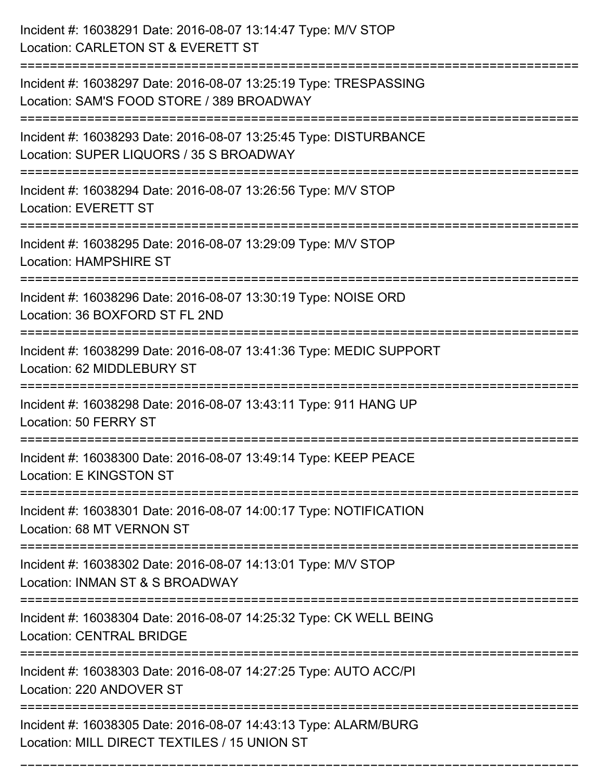| Incident #: 16038291 Date: 2016-08-07 13:14:47 Type: M/V STOP<br>Location: CARLETON ST & EVERETT ST                                             |
|-------------------------------------------------------------------------------------------------------------------------------------------------|
| Incident #: 16038297 Date: 2016-08-07 13:25:19 Type: TRESPASSING<br>Location: SAM'S FOOD STORE / 389 BROADWAY                                   |
| Incident #: 16038293 Date: 2016-08-07 13:25:45 Type: DISTURBANCE<br>Location: SUPER LIQUORS / 35 S BROADWAY<br>================================ |
| Incident #: 16038294 Date: 2016-08-07 13:26:56 Type: M/V STOP<br><b>Location: EVERETT ST</b>                                                    |
| Incident #: 16038295 Date: 2016-08-07 13:29:09 Type: M/V STOP<br><b>Location: HAMPSHIRE ST</b>                                                  |
| Incident #: 16038296 Date: 2016-08-07 13:30:19 Type: NOISE ORD<br>Location: 36 BOXFORD ST FL 2ND                                                |
| Incident #: 16038299 Date: 2016-08-07 13:41:36 Type: MEDIC SUPPORT<br>Location: 62 MIDDLEBURY ST                                                |
| Incident #: 16038298 Date: 2016-08-07 13:43:11 Type: 911 HANG UP<br>Location: 50 FERRY ST                                                       |
| Incident #: 16038300 Date: 2016-08-07 13:49:14 Type: KEEP PEACE<br>Location: E KINGSTON ST                                                      |
| Incident #: 16038301 Date: 2016-08-07 14:00:17 Type: NOTIFICATION<br>Location: 68 MT VERNON ST                                                  |
| Incident #: 16038302 Date: 2016-08-07 14:13:01 Type: M/V STOP<br>Location: INMAN ST & S BROADWAY                                                |
| Incident #: 16038304 Date: 2016-08-07 14:25:32 Type: CK WELL BEING<br><b>Location: CENTRAL BRIDGE</b>                                           |
| Incident #: 16038303 Date: 2016-08-07 14:27:25 Type: AUTO ACC/PI<br>Location: 220 ANDOVER ST                                                    |
| Incident #: 16038305 Date: 2016-08-07 14:43:13 Type: ALARM/BURG<br>Location: MILL DIRECT TEXTILES / 15 UNION ST                                 |

===========================================================================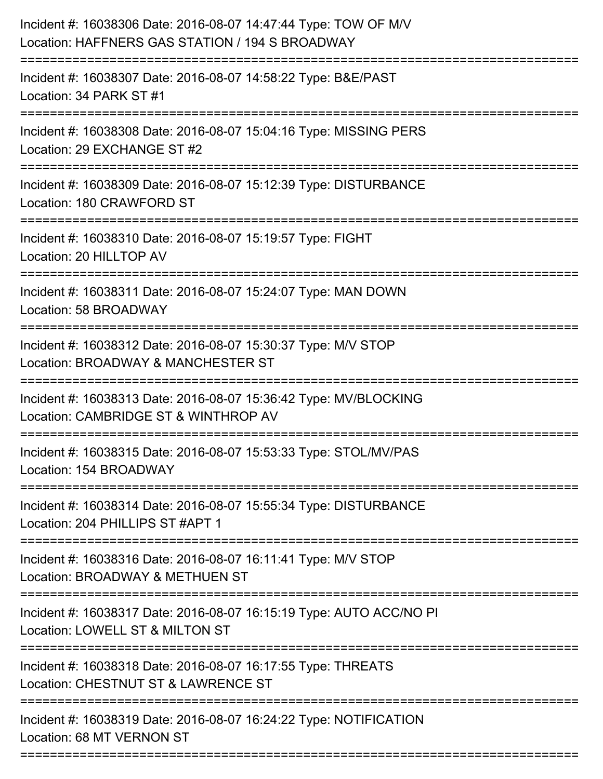| Incident #: 16038306 Date: 2016-08-07 14:47:44 Type: TOW OF M/V<br>Location: HAFFNERS GAS STATION / 194 S BROADWAY<br>:=======================                     |
|--------------------------------------------------------------------------------------------------------------------------------------------------------------------|
| Incident #: 16038307 Date: 2016-08-07 14:58:22 Type: B&E/PAST<br>Location: 34 PARK ST #1                                                                           |
| Incident #: 16038308 Date: 2016-08-07 15:04:16 Type: MISSING PERS<br>Location: 29 EXCHANGE ST #2<br>======================                                         |
| Incident #: 16038309 Date: 2016-08-07 15:12:39 Type: DISTURBANCE<br>Location: 180 CRAWFORD ST                                                                      |
| Incident #: 16038310 Date: 2016-08-07 15:19:57 Type: FIGHT<br>Location: 20 HILLTOP AV<br>----------------------------------<br>=================================== |
| Incident #: 16038311 Date: 2016-08-07 15:24:07 Type: MAN DOWN<br>Location: 58 BROADWAY                                                                             |
| Incident #: 16038312 Date: 2016-08-07 15:30:37 Type: M/V STOP<br>Location: BROADWAY & MANCHESTER ST<br>-------------------                                         |
| Incident #: 16038313 Date: 2016-08-07 15:36:42 Type: MV/BLOCKING<br>Location: CAMBRIDGE ST & WINTHROP AV                                                           |
| Incident #: 16038315 Date: 2016-08-07 15:53:33 Type: STOL/MV/PAS<br>Location: 154 BROADWAY                                                                         |
| Incident #: 16038314 Date: 2016-08-07 15:55:34 Type: DISTURBANCE<br>Location: 204 PHILLIPS ST #APT 1                                                               |
| Incident #: 16038316 Date: 2016-08-07 16:11:41 Type: M/V STOP<br>Location: BROADWAY & METHUEN ST                                                                   |
| Incident #: 16038317 Date: 2016-08-07 16:15:19 Type: AUTO ACC/NO PI<br>Location: LOWELL ST & MILTON ST                                                             |
| Incident #: 16038318 Date: 2016-08-07 16:17:55 Type: THREATS<br>Location: CHESTNUT ST & LAWRENCE ST                                                                |
| Incident #: 16038319 Date: 2016-08-07 16:24:22 Type: NOTIFICATION<br>Location: 68 MT VERNON ST                                                                     |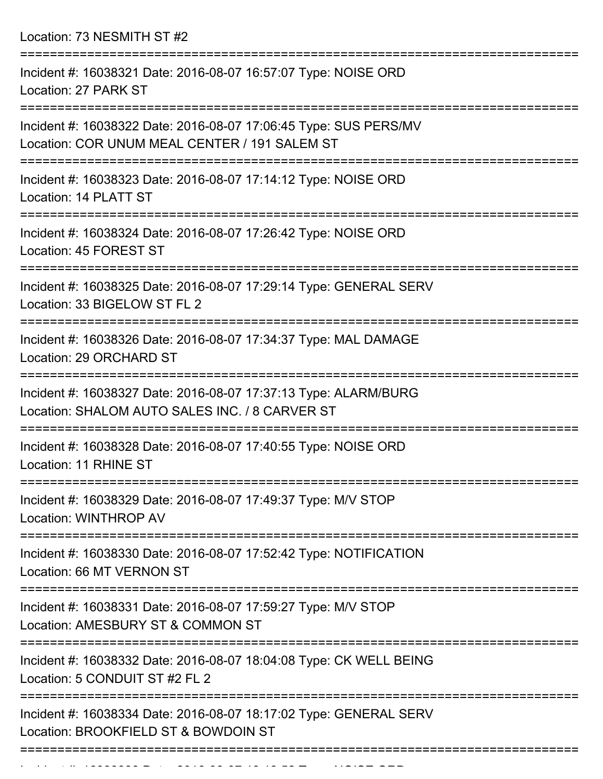Location: 73 NESMITH ST #2

| Incident #: 16038321 Date: 2016-08-07 16:57:07 Type: NOISE ORD<br>Location: 27 PARK ST                                  |
|-------------------------------------------------------------------------------------------------------------------------|
| Incident #: 16038322 Date: 2016-08-07 17:06:45 Type: SUS PERS/MV<br>Location: COR UNUM MEAL CENTER / 191 SALEM ST       |
| Incident #: 16038323 Date: 2016-08-07 17:14:12 Type: NOISE ORD<br>Location: 14 PLATT ST                                 |
| Incident #: 16038324 Date: 2016-08-07 17:26:42 Type: NOISE ORD<br>Location: 45 FOREST ST                                |
| ==================<br>Incident #: 16038325 Date: 2016-08-07 17:29:14 Type: GENERAL SERV<br>Location: 33 BIGELOW ST FL 2 |
| Incident #: 16038326 Date: 2016-08-07 17:34:37 Type: MAL DAMAGE<br>Location: 29 ORCHARD ST                              |
| Incident #: 16038327 Date: 2016-08-07 17:37:13 Type: ALARM/BURG<br>Location: SHALOM AUTO SALES INC. / 8 CARVER ST       |
| Incident #: 16038328 Date: 2016-08-07 17:40:55 Type: NOISE ORD<br>Location: 11 RHINE ST                                 |
| Incident #: 16038329 Date: 2016-08-07 17:49:37 Type: M/V STOP<br>Location: WINTHROP AV                                  |
| Incident #: 16038330 Date: 2016-08-07 17:52:42 Type: NOTIFICATION<br>Location: 66 MT VERNON ST                          |
| Incident #: 16038331 Date: 2016-08-07 17:59:27 Type: M/V STOP<br>Location: AMESBURY ST & COMMON ST                      |
| Incident #: 16038332 Date: 2016-08-07 18:04:08 Type: CK WELL BEING<br>Location: 5 CONDUIT ST #2 FL 2                    |
| Incident #: 16038334 Date: 2016-08-07 18:17:02 Type: GENERAL SERV<br>Location: BROOKFIELD ST & BOWDOIN ST               |
|                                                                                                                         |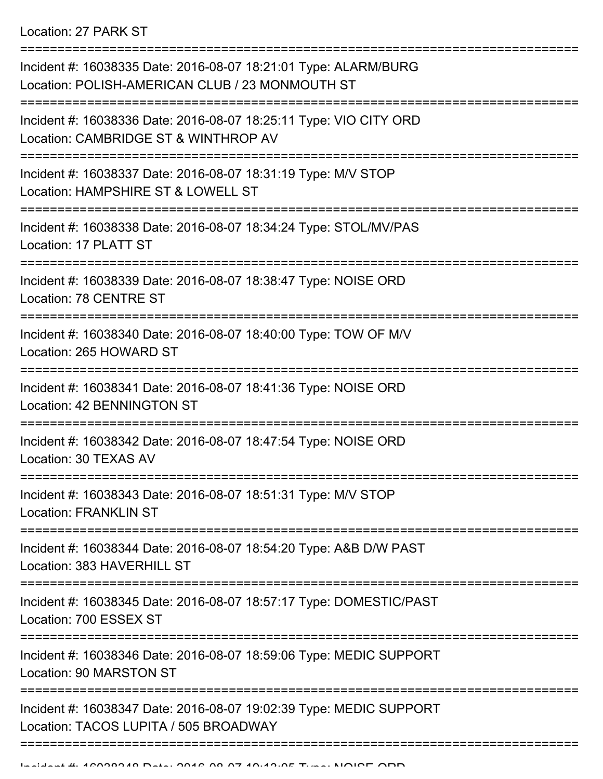| Incident #: 16038335 Date: 2016-08-07 18:21:01 Type: ALARM/BURG<br>Location: POLISH-AMERICAN CLUB / 23 MONMOUTH ST<br>:=============== |
|----------------------------------------------------------------------------------------------------------------------------------------|
| Incident #: 16038336 Date: 2016-08-07 18:25:11 Type: VIO CITY ORD<br>Location: CAMBRIDGE ST & WINTHROP AV                              |
| Incident #: 16038337 Date: 2016-08-07 18:31:19 Type: M/V STOP<br>Location: HAMPSHIRE ST & LOWELL ST                                    |
| Incident #: 16038338 Date: 2016-08-07 18:34:24 Type: STOL/MV/PAS<br>Location: 17 PLATT ST                                              |
| Incident #: 16038339 Date: 2016-08-07 18:38:47 Type: NOISE ORD<br>Location: 78 CENTRE ST                                               |
| Incident #: 16038340 Date: 2016-08-07 18:40:00 Type: TOW OF M/V<br>Location: 265 HOWARD ST                                             |
| Incident #: 16038341 Date: 2016-08-07 18:41:36 Type: NOISE ORD<br>Location: 42 BENNINGTON ST                                           |
| Incident #: 16038342 Date: 2016-08-07 18:47:54 Type: NOISE ORD<br>Location: 30 TEXAS AV                                                |
| Incident #: 16038343 Date: 2016-08-07 18:51:31 Type: M/V STOP<br><b>Location: FRANKLIN ST</b>                                          |
| Incident #: 16038344 Date: 2016-08-07 18:54:20 Type: A&B D/W PAST<br>Location: 383 HAVERHILL ST                                        |
| Incident #: 16038345 Date: 2016-08-07 18:57:17 Type: DOMESTIC/PAST<br>Location: 700 ESSEX ST                                           |
| Incident #: 16038346 Date: 2016-08-07 18:59:06 Type: MEDIC SUPPORT<br>Location: 90 MARSTON ST                                          |
| Incident #: 16038347 Date: 2016-08-07 19:02:39 Type: MEDIC SUPPORT<br>Location: TACOS LUPITA / 505 BROADWAY                            |
|                                                                                                                                        |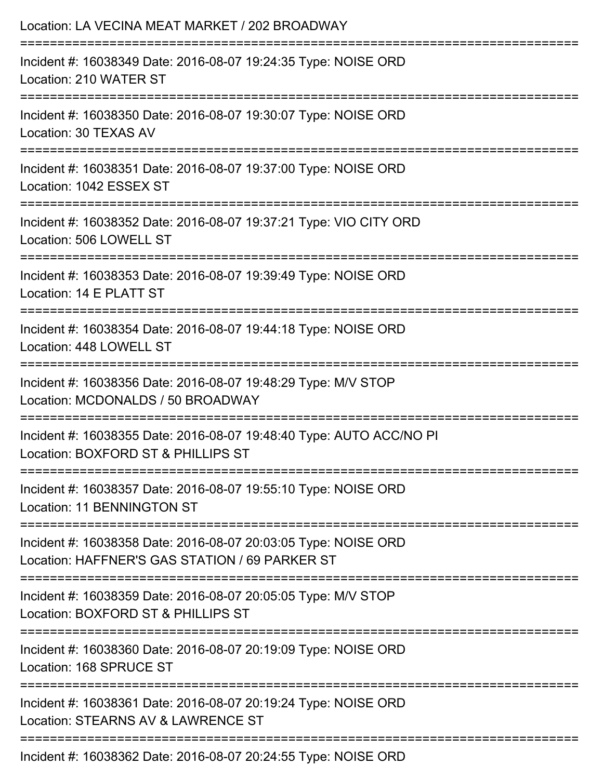| Location: LA VECINA MEAT MARKET / 202 BROADWAY                                                                                  |
|---------------------------------------------------------------------------------------------------------------------------------|
| Incident #: 16038349 Date: 2016-08-07 19:24:35 Type: NOISE ORD<br>Location: 210 WATER ST                                        |
| Incident #: 16038350 Date: 2016-08-07 19:30:07 Type: NOISE ORD<br>Location: 30 TEXAS AV                                         |
| Incident #: 16038351 Date: 2016-08-07 19:37:00 Type: NOISE ORD<br>Location: 1042 ESSEX ST                                       |
| Incident #: 16038352 Date: 2016-08-07 19:37:21 Type: VIO CITY ORD<br>Location: 506 LOWELL ST                                    |
| Incident #: 16038353 Date: 2016-08-07 19:39:49 Type: NOISE ORD<br>Location: 14 E PLATT ST                                       |
| :=================================<br>Incident #: 16038354 Date: 2016-08-07 19:44:18 Type: NOISE ORD<br>Location: 448 LOWELL ST |
| Incident #: 16038356 Date: 2016-08-07 19:48:29 Type: M/V STOP<br>Location: MCDONALDS / 50 BROADWAY                              |
| Incident #: 16038355 Date: 2016-08-07 19:48:40 Type: AUTO ACC/NO PI<br>Location: BOXFORD ST & PHILLIPS ST                       |
| Incident #: 16038357 Date: 2016-08-07 19:55:10 Type: NOISE ORD<br>Location: 11 BENNINGTON ST                                    |
| Incident #: 16038358 Date: 2016-08-07 20:03:05 Type: NOISE ORD<br>Location: HAFFNER'S GAS STATION / 69 PARKER ST                |
| Incident #: 16038359 Date: 2016-08-07 20:05:05 Type: M/V STOP<br>Location: BOXFORD ST & PHILLIPS ST                             |
| Incident #: 16038360 Date: 2016-08-07 20:19:09 Type: NOISE ORD<br>Location: 168 SPRUCE ST                                       |
| Incident #: 16038361 Date: 2016-08-07 20:19:24 Type: NOISE ORD<br>Location: STEARNS AV & LAWRENCE ST                            |
| Incident #: 16038362 Date: 2016-08-07 20:24:55 Type: NOISE ORD                                                                  |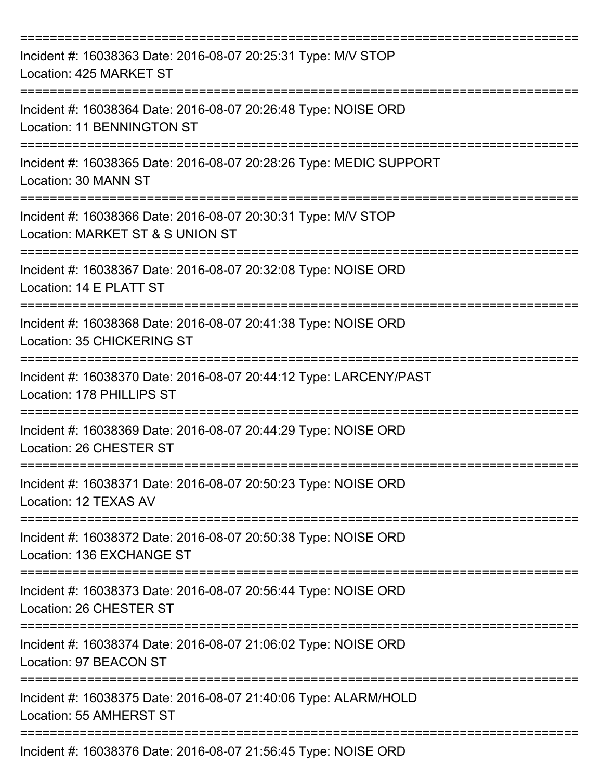| Incident #: 16038363 Date: 2016-08-07 20:25:31 Type: M/V STOP<br>Location: 425 MARKET ST                                       |
|--------------------------------------------------------------------------------------------------------------------------------|
| Incident #: 16038364 Date: 2016-08-07 20:26:48 Type: NOISE ORD<br><b>Location: 11 BENNINGTON ST</b>                            |
| Incident #: 16038365 Date: 2016-08-07 20:28:26 Type: MEDIC SUPPORT<br>Location: 30 MANN ST                                     |
| Incident #: 16038366 Date: 2016-08-07 20:30:31 Type: M/V STOP<br>Location: MARKET ST & S UNION ST                              |
| Incident #: 16038367 Date: 2016-08-07 20:32:08 Type: NOISE ORD<br>Location: 14 E PLATT ST<br>================================= |
| Incident #: 16038368 Date: 2016-08-07 20:41:38 Type: NOISE ORD<br>Location: 35 CHICKERING ST                                   |
| Incident #: 16038370 Date: 2016-08-07 20:44:12 Type: LARCENY/PAST<br>Location: 178 PHILLIPS ST                                 |
| Incident #: 16038369 Date: 2016-08-07 20:44:29 Type: NOISE ORD<br>Location: 26 CHESTER ST                                      |
| Incident #: 16038371 Date: 2016-08-07 20:50:23 Type: NOISE ORD<br>Location: 12 TEXAS AV                                        |
| Incident #: 16038372 Date: 2016-08-07 20:50:38 Type: NOISE ORD<br>Location: 136 EXCHANGE ST                                    |
| Incident #: 16038373 Date: 2016-08-07 20:56:44 Type: NOISE ORD<br>Location: 26 CHESTER ST                                      |
| Incident #: 16038374 Date: 2016-08-07 21:06:02 Type: NOISE ORD<br>Location: 97 BEACON ST                                       |
| Incident #: 16038375 Date: 2016-08-07 21:40:06 Type: ALARM/HOLD<br>Location: 55 AMHERST ST                                     |
| Incident #: 16038376 Date: 2016-08-07 21:56:45 Type: NOISE ORD                                                                 |